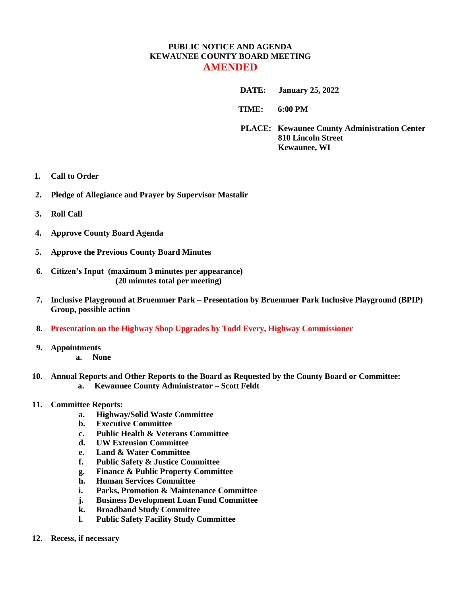## **PUBLIC NOTICE AND AGENDA KEWAUNEE COUNTY BOARD MEETING AMENDED**

 **DATE: January 25, 2022**

**TIME: 6:00 PM** 

**PLACE: Kewaunee County Administration Center 810 Lincoln Street Kewaunee, WI**

- **1. Call to Order**
- **2. Pledge of Allegiance and Prayer by Supervisor Mastalir**
- **3. Roll Call**
- **4. Approve County Board Agenda**
- **5. Approve the Previous County Board Minutes**
- **6. Citizen's Input (maximum 3 minutes per appearance) (20 minutes total per meeting)**
- **7. Inclusive Playground at Bruemmer Park – Presentation by Bruemmer Park Inclusive Playground (BPIP) Group, possible action**
- **8. Presentation on the Highway Shop Upgrades by Todd Every, Highway Commissioner**
- **9. Appointments a. None**
- **10. Annual Reports and Other Reports to the Board as Requested by the County Board or Committee: a. Kewaunee County Administrator – Scott Feldt**

## **11. Committee Reports:**

- **a. Highway/Solid Waste Committee**
- **b. Executive Committee**
- **c. Public Health & Veterans Committee**
- **d. UW Extension Committee**
- **e. Land & Water Committee**
- **f. Public Safety & Justice Committee**
- **g. Finance & Public Property Committee**
- **h. Human Services Committee**
- **i. Parks, Promotion & Maintenance Committee**
- **j. Business Development Loan Fund Committee**
- **k. Broadband Study Committee**
- **l. Public Safety Facility Study Committee**
- **12. Recess, if necessary**